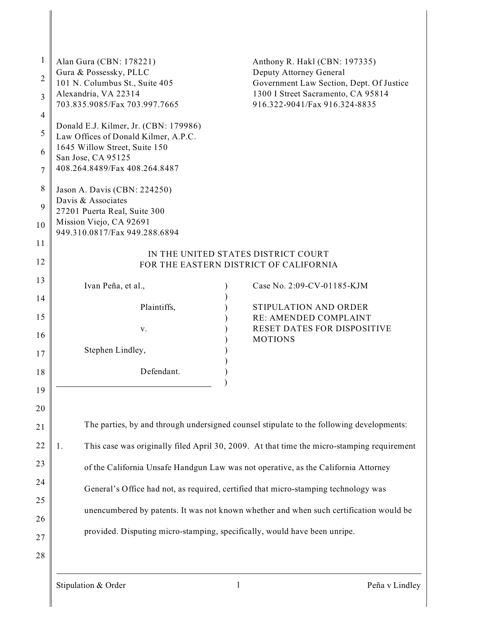| $\mathbf{1}$<br>$\overline{2}$<br>3<br>4<br>5<br>6 | Alan Gura (CBN: 178221)<br>Gura & Possessky, PLLC<br>101 N. Columbus St., Suite 405<br>Alexandria, VA 22314<br>703.835.9085/Fax 703.997.7665<br>Donald E.J. Kilmer, Jr. (CBN: 179986)<br>Law Offices of Donald Kilmer, A.P.C.<br>1645 Willow Street, Suite 150 | Anthony R. Hakl (CBN: 197335)<br>Deputy Attorney General<br>Government Law Section, Dept. Of Justice<br>1300 I Street Sacramento, CA 95814<br>916.322-9041/Fax 916.324-8835 |  |  |
|----------------------------------------------------|----------------------------------------------------------------------------------------------------------------------------------------------------------------------------------------------------------------------------------------------------------------|-----------------------------------------------------------------------------------------------------------------------------------------------------------------------------|--|--|
| $\tau$                                             | San Jose, CA 95125<br>408.264.8489/Fax 408.264.8487                                                                                                                                                                                                            |                                                                                                                                                                             |  |  |
| 8<br>9<br>10                                       | Jason A. Davis (CBN: 224250)<br>Davis & Associates<br>27201 Puerta Real, Suite 300<br>Mission Viejo, CA 92691<br>949.310.0817/Fax 949.288.6894                                                                                                                 |                                                                                                                                                                             |  |  |
| 11                                                 | IN THE UNITED STATES DISTRICT COURT                                                                                                                                                                                                                            |                                                                                                                                                                             |  |  |
| 12                                                 | FOR THE EASTERN DISTRICT OF CALIFORNIA                                                                                                                                                                                                                         |                                                                                                                                                                             |  |  |
| 13                                                 | Ivan Peña, et al.,                                                                                                                                                                                                                                             | Case No. 2:09-CV-01185-KJM                                                                                                                                                  |  |  |
| 14                                                 | Plaintiffs,                                                                                                                                                                                                                                                    | STIPULATION AND ORDER                                                                                                                                                       |  |  |
| 15                                                 |                                                                                                                                                                                                                                                                | RE: AMENDED COMPLAINT                                                                                                                                                       |  |  |
| 16                                                 | V.                                                                                                                                                                                                                                                             | RESET DATES FOR DISPOSITIVE<br><b>MOTIONS</b>                                                                                                                               |  |  |
| 17                                                 | Stephen Lindley,                                                                                                                                                                                                                                               |                                                                                                                                                                             |  |  |
| 18                                                 | Defendant.                                                                                                                                                                                                                                                     |                                                                                                                                                                             |  |  |
| 19                                                 |                                                                                                                                                                                                                                                                |                                                                                                                                                                             |  |  |
| 20                                                 |                                                                                                                                                                                                                                                                |                                                                                                                                                                             |  |  |
| 21                                                 | The parties, by and through undersigned counsel stipulate to the following developments:                                                                                                                                                                       |                                                                                                                                                                             |  |  |
| 22                                                 | 1.                                                                                                                                                                                                                                                             | This case was originally filed April 30, 2009. At that time the micro-stamping requirement                                                                                  |  |  |
| 23                                                 |                                                                                                                                                                                                                                                                | of the California Unsafe Handgun Law was not operative, as the California Attorney                                                                                          |  |  |
| 24                                                 |                                                                                                                                                                                                                                                                |                                                                                                                                                                             |  |  |
| 25                                                 | General's Office had not, as required, certified that micro-stamping technology was                                                                                                                                                                            |                                                                                                                                                                             |  |  |
|                                                    |                                                                                                                                                                                                                                                                | unencumbered by patents. It was not known whether and when such certification would be                                                                                      |  |  |
| 26                                                 |                                                                                                                                                                                                                                                                | provided. Disputing micro-stamping, specifically, would have been unripe.                                                                                                   |  |  |
| 27                                                 |                                                                                                                                                                                                                                                                |                                                                                                                                                                             |  |  |
| 28                                                 |                                                                                                                                                                                                                                                                |                                                                                                                                                                             |  |  |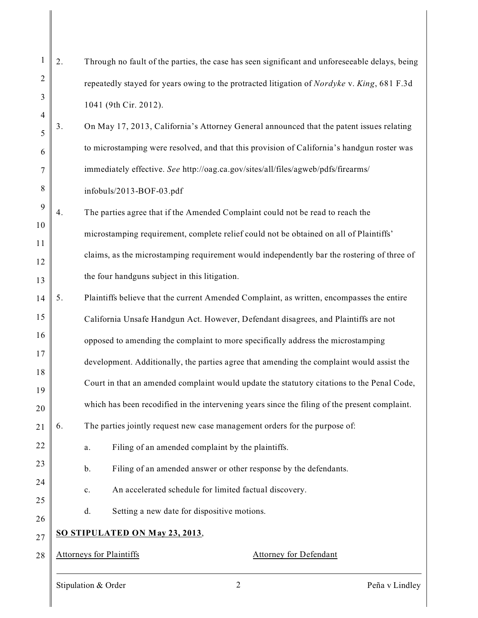| 1              | 2.                                                               | Through no fault of the parties, the case has seen significant and unforeseeable delays, being |
|----------------|------------------------------------------------------------------|------------------------------------------------------------------------------------------------|
| $\overline{c}$ |                                                                  | repeatedly stayed for years owing to the protracted litigation of Nordyke v. King, 681 F.3d    |
| 3              |                                                                  | 1041 (9th Cir. 2012).                                                                          |
| $\overline{4}$ |                                                                  |                                                                                                |
| 5              | 3.                                                               | On May 17, 2013, California's Attorney General announced that the patent issues relating       |
| 6              |                                                                  | to microstamping were resolved, and that this provision of California's handgun roster was     |
| 7              |                                                                  | immediately effective. See http://oag.ca.gov/sites/all/files/agweb/pdfs/firearms/              |
| 8              |                                                                  | infobuls/2013-BOF-03.pdf                                                                       |
| 9              | 4.                                                               | The parties agree that if the Amended Complaint could not be read to reach the                 |
| 10             |                                                                  | microstamping requirement, complete relief could not be obtained on all of Plaintiffs'         |
| 11             |                                                                  | claims, as the microstamping requirement would independently bar the rostering of three of     |
| 12             |                                                                  | the four handguns subject in this litigation.                                                  |
| 13             |                                                                  |                                                                                                |
| 14             | 5.                                                               | Plaintiffs believe that the current Amended Complaint, as written, encompasses the entire      |
| 15             |                                                                  | California Unsafe Handgun Act. However, Defendant disagrees, and Plaintiffs are not            |
| 16             |                                                                  | opposed to amending the complaint to more specifically address the microstamping               |
| 17             |                                                                  | development. Additionally, the parties agree that amending the complaint would assist the      |
| 18<br>19       |                                                                  | Court in that an amended complaint would update the statutory citations to the Penal Code,     |
| 20             |                                                                  | which has been recodified in the intervening years since the filing of the present complaint.  |
| 21             | 6.                                                               | The parties jointly request new case management orders for the purpose of:                     |
| 22             |                                                                  | Filing of an amended complaint by the plaintiffs.<br>a.                                        |
| 23             |                                                                  | Filing of an amended answer or other response by the defendants.<br>b.                         |
| 24             |                                                                  | An accelerated schedule for limited factual discovery.<br>c.                                   |
| 25             |                                                                  |                                                                                                |
| 26             |                                                                  | d.<br>Setting a new date for dispositive motions.                                              |
| 27             | <b>SO STIPULATED ON May 23, 2013,</b>                            |                                                                                                |
| 28             | <b>Attorneys for Plaintiffs</b><br><b>Attorney for Defendant</b> |                                                                                                |
|                |                                                                  |                                                                                                |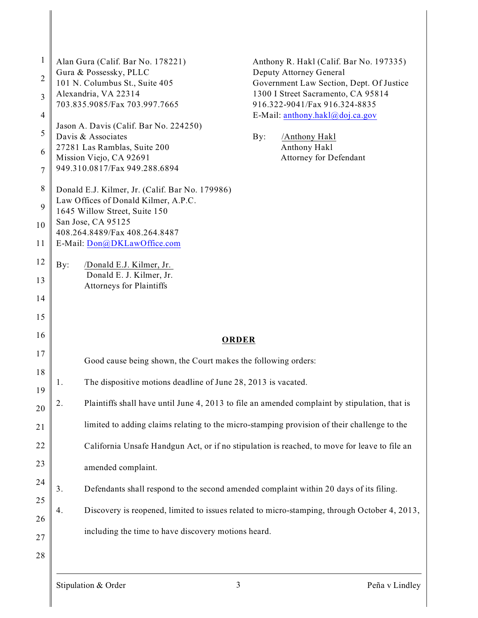| $\mathbf{1}$<br>$\overline{c}$<br>$\overline{\mathbf{3}}$<br>$\overline{4}$<br>$\mathfrak s$<br>6<br>$\tau$<br>$\,8\,$<br>9 | Alan Gura (Calif. Bar No. 178221)<br>Gura & Possessky, PLLC<br>101 N. Columbus St., Suite 405<br>Alexandria, VA 22314<br>703.835.9085/Fax 703.997.7665<br>Jason A. Davis (Calif. Bar No. 224250)<br>Davis & Associates<br>By:<br>27281 Las Ramblas, Suite 200<br>Mission Viejo, CA 92691<br>949.310.0817/Fax 949.288.6894<br>Donald E.J. Kilmer, Jr. (Calif. Bar No. 179986)<br>Law Offices of Donald Kilmer, A.P.C.<br>1645 Willow Street, Suite 150<br>San Jose, CA 95125 | Anthony R. Hakl (Calif. Bar No. 197335)<br>Deputy Attorney General<br>Government Law Section, Dept. Of Justice<br>1300 I Street Sacramento, CA 95814<br>916.322-9041/Fax 916.324-8835<br>E-Mail: anthony.hakl@doj.ca.gov<br>/Anthony Hakl<br>Anthony Hakl<br>Attorney for Defendant |  |  |
|-----------------------------------------------------------------------------------------------------------------------------|-----------------------------------------------------------------------------------------------------------------------------------------------------------------------------------------------------------------------------------------------------------------------------------------------------------------------------------------------------------------------------------------------------------------------------------------------------------------------------|-------------------------------------------------------------------------------------------------------------------------------------------------------------------------------------------------------------------------------------------------------------------------------------|--|--|
| 10<br>11                                                                                                                    | 408.264.8489/Fax 408.264.8487<br>E-Mail: Don@DKLawOffice.com                                                                                                                                                                                                                                                                                                                                                                                                                |                                                                                                                                                                                                                                                                                     |  |  |
| 12                                                                                                                          |                                                                                                                                                                                                                                                                                                                                                                                                                                                                             |                                                                                                                                                                                                                                                                                     |  |  |
| 13                                                                                                                          | By:<br>/Donald E.J. Kilmer, Jr.<br>Donald E. J. Kilmer, Jr.                                                                                                                                                                                                                                                                                                                                                                                                                 |                                                                                                                                                                                                                                                                                     |  |  |
| 14                                                                                                                          | <b>Attorneys for Plaintiffs</b>                                                                                                                                                                                                                                                                                                                                                                                                                                             |                                                                                                                                                                                                                                                                                     |  |  |
| 15                                                                                                                          |                                                                                                                                                                                                                                                                                                                                                                                                                                                                             |                                                                                                                                                                                                                                                                                     |  |  |
| 16                                                                                                                          |                                                                                                                                                                                                                                                                                                                                                                                                                                                                             |                                                                                                                                                                                                                                                                                     |  |  |
| 17                                                                                                                          |                                                                                                                                                                                                                                                                                                                                                                                                                                                                             | <b>ORDER</b>                                                                                                                                                                                                                                                                        |  |  |
| 18                                                                                                                          | Good cause being shown, the Court makes the following orders:                                                                                                                                                                                                                                                                                                                                                                                                               |                                                                                                                                                                                                                                                                                     |  |  |
| 19                                                                                                                          | The dispositive motions deadline of June 28, 2013 is vacated.<br>1.                                                                                                                                                                                                                                                                                                                                                                                                         |                                                                                                                                                                                                                                                                                     |  |  |
| 20                                                                                                                          | 2.<br>Plaintiffs shall have until June 4, 2013 to file an amended complaint by stipulation, that is                                                                                                                                                                                                                                                                                                                                                                         |                                                                                                                                                                                                                                                                                     |  |  |
| 21                                                                                                                          | limited to adding claims relating to the micro-stamping provision of their challenge to the                                                                                                                                                                                                                                                                                                                                                                                 |                                                                                                                                                                                                                                                                                     |  |  |
| 22                                                                                                                          | California Unsafe Handgun Act, or if no stipulation is reached, to move for leave to file an                                                                                                                                                                                                                                                                                                                                                                                |                                                                                                                                                                                                                                                                                     |  |  |
| 23                                                                                                                          | amended complaint.                                                                                                                                                                                                                                                                                                                                                                                                                                                          |                                                                                                                                                                                                                                                                                     |  |  |
| 24                                                                                                                          | 3.<br>Defendants shall respond to the second amended complaint within 20 days of its filing.                                                                                                                                                                                                                                                                                                                                                                                |                                                                                                                                                                                                                                                                                     |  |  |
| 25                                                                                                                          |                                                                                                                                                                                                                                                                                                                                                                                                                                                                             |                                                                                                                                                                                                                                                                                     |  |  |
| 26                                                                                                                          | Discovery is reopened, limited to issues related to micro-stamping, through October 4, 2013,<br>4.                                                                                                                                                                                                                                                                                                                                                                          |                                                                                                                                                                                                                                                                                     |  |  |
| 27                                                                                                                          | including the time to have discovery motions heard.                                                                                                                                                                                                                                                                                                                                                                                                                         |                                                                                                                                                                                                                                                                                     |  |  |
| 28                                                                                                                          |                                                                                                                                                                                                                                                                                                                                                                                                                                                                             |                                                                                                                                                                                                                                                                                     |  |  |